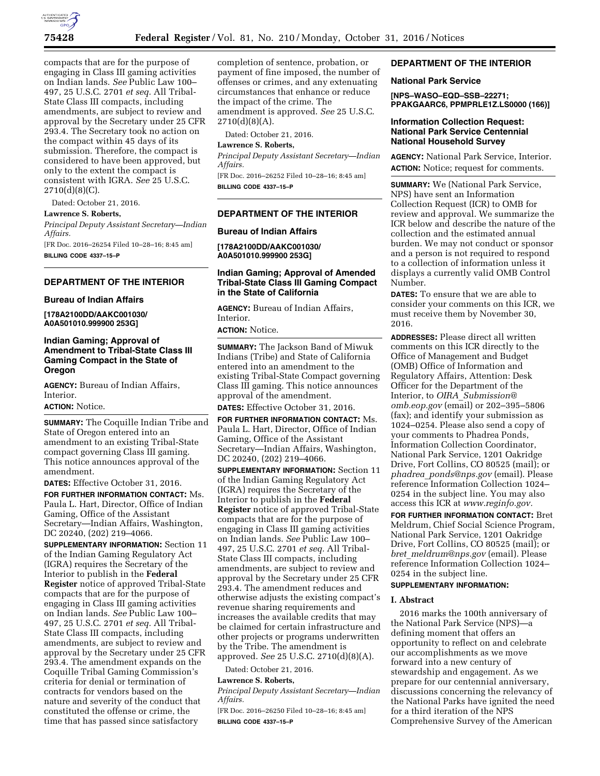

compacts that are for the purpose of engaging in Class III gaming activities on Indian lands. *See* Public Law 100– 497, 25 U.S.C. 2701 *et seq.* All Tribal-State Class III compacts, including amendments, are subject to review and approval by the Secretary under 25 CFR 293.4. The Secretary took no action on the compact within 45 days of its submission. Therefore, the compact is considered to have been approved, but only to the extent the compact is consistent with IGRA. *See* 25 U.S.C. 2710(d)(8)(C).

Dated: October 21, 2016.

#### **Lawrence S. Roberts,**

*Principal Deputy Assistant Secretary—Indian Affairs.* 

[FR Doc. 2016–26254 Filed 10–28–16; 8:45 am] **BILLING CODE 4337–15–P** 

# **DEPARTMENT OF THE INTERIOR**

## **Bureau of Indian Affairs**

**[178A2100DD/AAKC001030/ A0A501010.999900 253G]** 

# **Indian Gaming; Approval of Amendment to Tribal-State Class III Gaming Compact in the State of Oregon**

**AGENCY:** Bureau of Indian Affairs, Interior.

#### **ACTION:** Notice.

**SUMMARY:** The Coquille Indian Tribe and State of Oregon entered into an amendment to an existing Tribal-State compact governing Class III gaming. This notice announces approval of the amendment.

**DATES:** Effective October 31, 2016.

**FOR FURTHER INFORMATION CONTACT:** Ms. Paula L. Hart, Director, Office of Indian Gaming, Office of the Assistant Secretary—Indian Affairs, Washington, DC 20240, (202) 219–4066.

**SUPPLEMENTARY INFORMATION:** Section 11 of the Indian Gaming Regulatory Act (IGRA) requires the Secretary of the Interior to publish in the **Federal Register** notice of approved Tribal-State compacts that are for the purpose of engaging in Class III gaming activities on Indian lands. *See* Public Law 100– 497, 25 U.S.C. 2701 *et seq.* All Tribal-State Class III compacts, including amendments, are subject to review and approval by the Secretary under 25 CFR 293.4. The amendment expands on the Coquille Tribal Gaming Commission's criteria for denial or termination of contracts for vendors based on the nature and severity of the conduct that constituted the offense or crime, the time that has passed since satisfactory

completion of sentence, probation, or payment of fine imposed, the number of offenses or crimes, and any extenuating circumstances that enhance or reduce the impact of the crime. The amendment is approved. *See* 25 U.S.C.  $2710(d)(8)(A)$ .

Dated: October 21, 2016.

## **Lawrence S. Roberts,**

*Principal Deputy Assistant Secretary—Indian Affairs.* 

[FR Doc. 2016–26252 Filed 10–28–16; 8:45 am] **BILLING CODE 4337–15–P** 

## **DEPARTMENT OF THE INTERIOR**

## **Bureau of Indian Affairs**

**[178A2100DD/AAKC001030/ A0A501010.999900 253G]** 

## **Indian Gaming; Approval of Amended Tribal-State Class III Gaming Compact in the State of California**

**AGENCY:** Bureau of Indian Affairs, Interior.

**ACTION:** Notice.

**SUMMARY:** The Jackson Band of Miwuk Indians (Tribe) and State of California entered into an amendment to the existing Tribal-State Compact governing Class III gaming. This notice announces approval of the amendment.

**DATES:** Effective October 31, 2016.

**FOR FURTHER INFORMATION CONTACT:** Ms. Paula L. Hart, Director, Office of Indian Gaming, Office of the Assistant Secretary—Indian Affairs, Washington, DC 20240, (202) 219–4066.

**SUPPLEMENTARY INFORMATION:** Section 11 of the Indian Gaming Regulatory Act (IGRA) requires the Secretary of the Interior to publish in the **Federal Register** notice of approved Tribal-State compacts that are for the purpose of engaging in Class III gaming activities on Indian lands. *See* Public Law 100– 497, 25 U.S.C. 2701 *et seq.* All Tribal-State Class III compacts, including amendments, are subject to review and approval by the Secretary under 25 CFR 293.4. The amendment reduces and otherwise adjusts the existing compact's revenue sharing requirements and increases the available credits that may be claimed for certain infrastructure and other projects or programs underwritten by the Tribe. The amendment is approved. *See* 25 U.S.C. 2710(d)(8)(A).

Dated: October 21, 2016.

## **Lawrence S. Roberts,**

*Principal Deputy Assistant Secretary—Indian Affairs.* 

[FR Doc. 2016–26250 Filed 10–28–16; 8:45 am] **BILLING CODE 4337–15–P** 

## **DEPARTMENT OF THE INTERIOR**

## **National Park Service**

**[NPS–WASO–EQD–SSB–22271; PPAKGAARC6, PPMPRLE1Z.LS0000 (166)]** 

## **Information Collection Request: National Park Service Centennial National Household Survey**

**AGENCY:** National Park Service, Interior. **ACTION:** Notice; request for comments.

**SUMMARY:** We (National Park Service, NPS) have sent an Information Collection Request (ICR) to OMB for review and approval. We summarize the ICR below and describe the nature of the collection and the estimated annual burden. We may not conduct or sponsor and a person is not required to respond to a collection of information unless it displays a currently valid OMB Control Number.

**DATES:** To ensure that we are able to consider your comments on this ICR, we must receive them by November 30, 2016.

**ADDRESSES:** Please direct all written comments on this ICR directly to the Office of Management and Budget (OMB) Office of Information and Regulatory Affairs, Attention: Desk Officer for the Department of the Interior, to *OIRA*\_*[Submission@](mailto:OIRA_Submission@omb.eop.gov) [omb.eop.gov](mailto:OIRA_Submission@omb.eop.gov)* (email) or 202–395–5806 (fax); and identify your submission as 1024–0254. Please also send a copy of your comments to Phadrea Ponds, Information Collection Coordinator, National Park Service, 1201 Oakridge Drive, Fort Collins, CO 80525 (mail); or *phadrea*\_*[ponds@nps.gov](mailto:phadrea_ponds@nps.gov)* (email). Please reference Information Collection 1024– 0254 in the subject line. You may also access this ICR at *[www.reginfo.gov.](http://www.reginfo.gov)* 

**FOR FURTHER INFORMATION CONTACT:** Bret Meldrum, Chief Social Science Program, National Park Service, 1201 Oakridge Drive, Fort Collins, CO 80525 (mail); or *bret*\_*[meldrum@nps.gov](mailto:bret_meldrum@nps.gov)* (email). Please reference Information Collection 1024– 0254 in the subject line.

## **SUPPLEMENTARY INFORMATION:**

#### **I. Abstract**

2016 marks the 100th anniversary of the National Park Service (NPS)—a defining moment that offers an opportunity to reflect on and celebrate our accomplishments as we move forward into a new century of stewardship and engagement. As we prepare for our centennial anniversary, discussions concerning the relevancy of the National Parks have ignited the need for a third iteration of the NPS Comprehensive Survey of the American